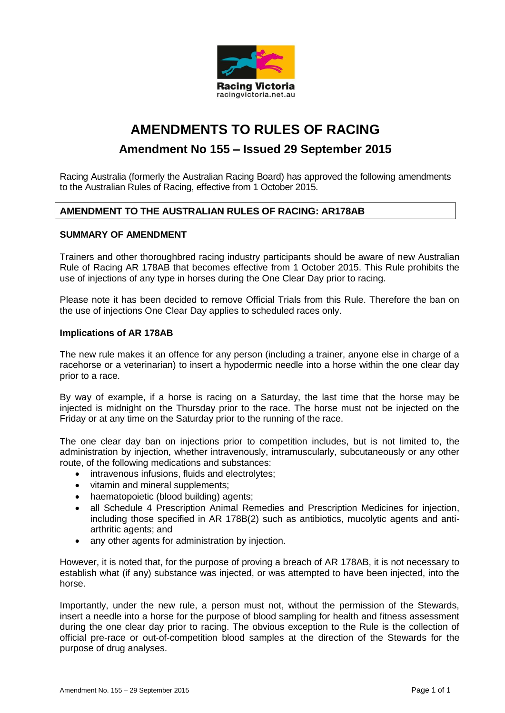

# **AMENDMENTS TO RULES OF RACING**

## **Amendment No 155 – Issued 29 September 2015**

Racing Australia (formerly the Australian Racing Board) has approved the following amendments to the Australian Rules of Racing, effective from 1 October 2015.

## **AMENDMENT TO THE AUSTRALIAN RULES OF RACING: AR178AB**

## **SUMMARY OF AMENDMENT**

Trainers and other thoroughbred racing industry participants should be aware of new Australian Rule of Racing AR 178AB that becomes effective from 1 October 2015. This Rule prohibits the use of injections of any type in horses during the One Clear Day prior to racing.

Please note it has been decided to remove Official Trials from this Rule. Therefore the ban on the use of injections One Clear Day applies to scheduled races only.

## **Implications of AR 178AB**

The new rule makes it an offence for any person (including a trainer, anyone else in charge of a racehorse or a veterinarian) to insert a hypodermic needle into a horse within the one clear day prior to a race.

By way of example, if a horse is racing on a Saturday, the last time that the horse may be injected is midnight on the Thursday prior to the race. The horse must not be injected on the Friday or at any time on the Saturday prior to the running of the race.

The one clear day ban on injections prior to competition includes, but is not limited to, the administration by injection, whether intravenously, intramuscularly, subcutaneously or any other route, of the following medications and substances:

- intravenous infusions, fluids and electrolytes;
- vitamin and mineral supplements;
- haematopoietic (blood building) agents;
- all Schedule 4 Prescription Animal Remedies and Prescription Medicines for injection, including those specified in AR 178B(2) such as antibiotics, mucolytic agents and antiarthritic agents; and
- any other agents for administration by injection.

However, it is noted that, for the purpose of proving a breach of AR 178AB, it is not necessary to establish what (if any) substance was injected, or was attempted to have been injected, into the horse.

Importantly, under the new rule, a person must not, without the permission of the Stewards, insert a needle into a horse for the purpose of blood sampling for health and fitness assessment during the one clear day prior to racing. The obvious exception to the Rule is the collection of official pre-race or out-of-competition blood samples at the direction of the Stewards for the purpose of drug analyses.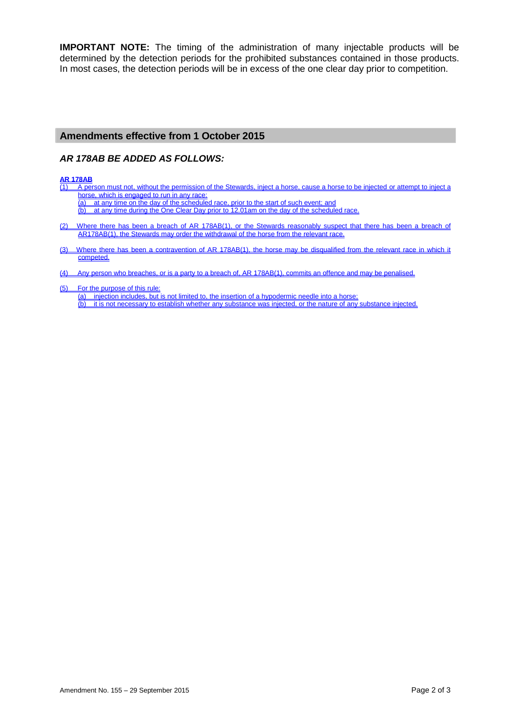**IMPORTANT NOTE:** The timing of the administration of many injectable products will be determined by the detection periods for the prohibited substances contained in those products. In most cases, the detection periods will be in excess of the one clear day prior to competition.

## **Amendments effective from 1 October 2015**

## *AR 178AB BE ADDED AS FOLLOWS:*

#### **AR 178AB**

- (1) A person must not, without the permission of the Stewards, inject a horse, cause a horse to be injected or attempt to inject a horse, which is engaged to run in any race:
	- (a) at any time on the day of the scheduled race, prior to the start of such event; and
		- (b) at any time during the One Clear Day prior to 12.01am on the day of the scheduled race.
- (2) Where there has been a breach of AR 178AB(1), or the Stewards reasonably suspect that there has been a breach of AR178AB(1), the Stewards may order the withdrawal of the horse from the relevant race.
- (3) Where there has been a contravention of AR 178AB(1), the horse may be disqualified from the relevant race in which it competed.
- (4) Any person who breaches, or is a party to a breach of, AR 178AB(1), commits an offence and may be penalised.
- (5) For the purpose of this rule: (a) injection includes, but is not limited to, the insertion of a hypodermic needle into a horse;<br>(b) it is not necessary to establish whether any substance was injected, or the nature of any it is not necessary to establish whether any substance was injected, or the nature of any substance injected.